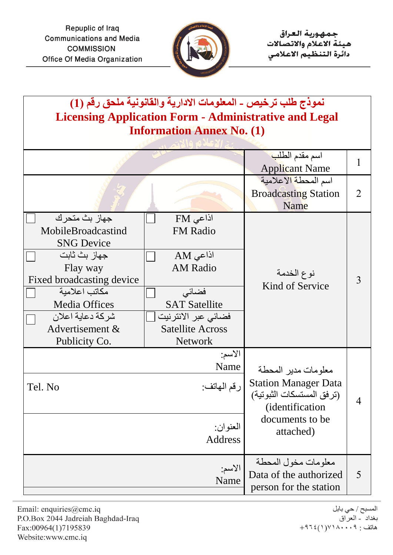

| نموذج طلب ترخيص - المعلومات الادارية والقانونية ملحق رقم (1)<br><b>Licensing Application Form - Administrative and Legal</b><br><b>Information Annex No. (1)</b>                                                    |                                                                                                                                                                 |                                                                                                                                            |                |  |  |
|---------------------------------------------------------------------------------------------------------------------------------------------------------------------------------------------------------------------|-----------------------------------------------------------------------------------------------------------------------------------------------------------------|--------------------------------------------------------------------------------------------------------------------------------------------|----------------|--|--|
|                                                                                                                                                                                                                     |                                                                                                                                                                 | اسم مقدم الطل <mark>ب</mark><br><b>Applicant Name</b>                                                                                      |                |  |  |
|                                                                                                                                                                                                                     |                                                                                                                                                                 | اسم المحطة الاعلامية<br><b>Broadcasting Station</b><br>Name                                                                                | $\overline{2}$ |  |  |
| جهاز بث متحر ك<br>MobileBroadcastind<br><b>SNG Device</b><br>جهاز بث ثابت<br>Flay way<br>Fixed broadcasting device<br>مكاتب اعلامية<br><b>Media Offices</b><br>شركة دعاية اعلان<br>Advertisement &<br>Publicity Co. | اذاعی FM<br><b>FM Radio</b><br>اذاعی AM<br><b>AM Radio</b><br>فضائى<br><b>SAT Satellite</b><br>فضائى عبر الانترنيت<br><b>Satellite Across</b><br><b>Network</b> | نوع الخدمة<br>Kind of Service                                                                                                              | 3              |  |  |
| الأسم:<br>Name<br>ر قم المهاتف:<br>Tel. No<br>العنوان:<br>Address                                                                                                                                                   |                                                                                                                                                                 | معلومات مدير المحطة<br><b>Station Manager Data</b><br>(ترفق المستسكات الثبوتية)<br><i>(identification)</i><br>documents to be<br>attached) | $\overline{4}$ |  |  |
| الأسم:<br>Name                                                                                                                                                                                                      |                                                                                                                                                                 | معلومات مخول المحطة<br>Data of the authorized<br>person for the station                                                                    | 5              |  |  |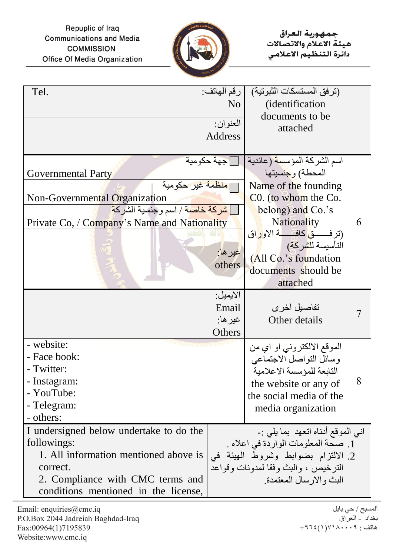Repuplic of Iraq **Communications and Media COMMISSION** Office Of Media Organization



جمهورية العراق هيئة الاعلام والاتصالات دائرة التنظيم الاعلامى

| Tel.                                                                                                                                                                                                    | رقم الهاتف:<br>N <sub>o</sub><br>العنوان:<br>Address | (ترفق المستسكات الثبوتية)<br><i>(identification)</i><br>documents to be<br>attached                                                                                                                                                                                                                     |   |
|---------------------------------------------------------------------------------------------------------------------------------------------------------------------------------------------------------|------------------------------------------------------|---------------------------------------------------------------------------------------------------------------------------------------------------------------------------------------------------------------------------------------------------------------------------------------------------------|---|
| Governmental Party<br>] <mark>منظمة غير حكو</mark> مية<br>Non-Governmental Organization<br><mark> شركة خاص</mark> بة / اسم وجنسية الشركة <mark> </mark><br>Private Co, / Company's Name and Nationality | <u> جه</u> ة حكومية<br>غیر ها <u>:</u><br>others     | اسم الشركة المؤسسة (عائدية<br>المحطة) و <mark>جن</mark> سيتها<br>Name of the founding<br>C0. (to whom the Co.<br>belong) and Co.'s<br><b>Nationality</b><br>(ترفســـق كافــــــــة الأو <mark>ر</mark> اق<br>التأسيسة ل <mark>لشركة)</mark><br>(All Co.'s foundation<br>documents should be<br>attached | 6 |
|                                                                                                                                                                                                         | الايميل:<br>Email<br>غير ها:<br>Others               | تفاصيل اخر ي<br>Other details                                                                                                                                                                                                                                                                           |   |
| - website:<br>- Face book:<br>- Twitter:<br>- Instagram:<br>- YouTube:<br>- Telegram:<br>- others:                                                                                                      |                                                      | الموقع الالكتروني او اي من<br>وسائل التواصل الاجتماعي<br>التابعة للمؤسسة الاعلامية<br>the website or any of<br>the social media of the<br>media organization                                                                                                                                            | 8 |
| I undersigned below undertake to do the<br>followings:<br>1. All information mentioned above is<br>correct.<br>2. Compliance with CMC terms and<br>conditions mentioned in the license,                 |                                                      | انبي الموقع أدناه اتعهد بما يلبي :-<br>1. صحة المعلومات الواردة في اعلاه .<br>2. الالتزام بضوابط وشروط الهيئة في<br>الترخيص ، والبث وفقا لمدونات وقواعد<br>البث و الار سال المعتمدة.                                                                                                                    |   |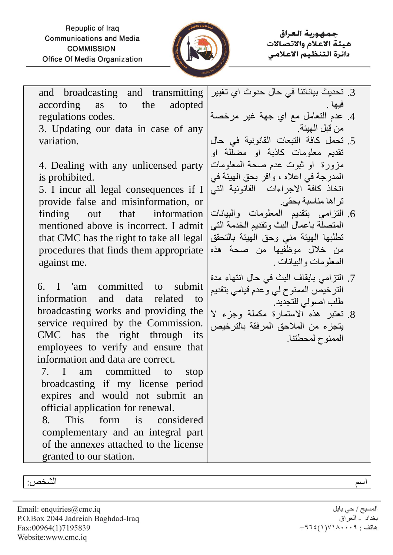Repuplic of Iraq **Communications and Media COMMISSION** Office Of Media Organization



حمهورية العراق هيئة الاعلام والاتصالات دائرة التنظيم الاعلامى

and broadcasting and transmitting according as to the adopted regulations codes.

3. Updating our data in case of any variation.

4. Dealing with any unlicensed party is prohibited.

5. I incur all legal consequences if I provide false and misinformation, or finding out that information mentioned above is incorrect. I admit that CMC has the right to take all legal procedures that finds them appropriate against me.

6. I 'am committed to submit information and data related to broadcasting works and providing the service required by the Commission. CMC has the right through its employees to verify and ensure that information and data are correct.

7. I am committed to stop broadcasting if my license period expires and would not submit an official application for renewal.

8. This form is considered complementary and an integral part of the annexes attached to the license granted to our station.

- .3 تحديث بياناتنا في حال حدوث اي تغيير فيها .
- .4 عدم التعامل مع اي جهة غير مرخصة من قبل الهيئة.
- .5 تحمل كافة التبعات القانونية في حال تقديم معلومات كاذبة او مضللة او مزورة او ثبوت عدم صحة المعلومات المدرجة في اعاله ، واقر بحق الهيئة في اتخاذ كافة االجراءات القانونية التي تراها مناسبة بحقي.
- .6 التزامي بتقديم المعلومات والبيانات المتصلة باعمال البث وتقديم الخدمة التي تطلبها الهيئة مني وحق الهيئة بالتحقق من خالل موظفيها من صحة هذه المعلومات والبيانات .
- .7 التزامي بايقاف البث في حال انتهاء مدة الترخيص الممنوح لي وعدم قيامي بتقديم طلب اصولي للتجديد.
- .8 تعتبر هذه االستمارة مكملة وجزء ال يتجزء من المالحق المرفقة بالترخيص الممنوح لمحطتنا.

اسم الشخص:

Email: enquiries@cmc.iq P.O.Box 2044 Jadreiah Baghdad-Iraq Fax:00964(1)7195839 Website:www.cmc.iq

المسبح / حي بابل بغداد - العراق هاتف : ۰۰۹،۰۰۰(۱)،۹۶۶+